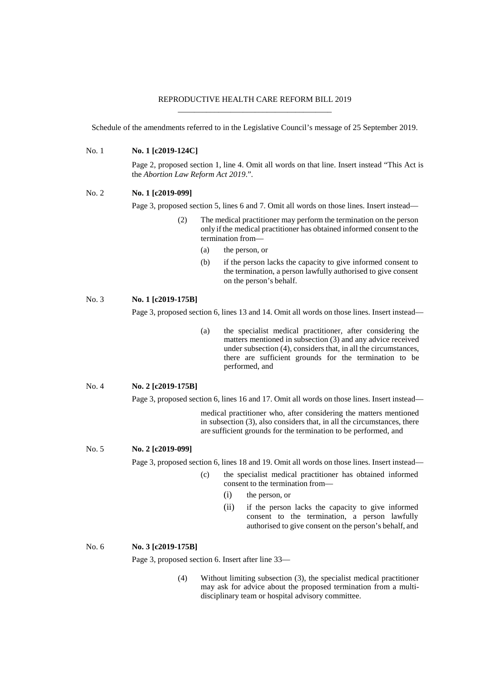## REPRODUCTIVE HEALTH CARE REFORM BILL 2019 \_\_\_\_\_\_\_\_\_\_\_\_\_\_\_\_\_\_\_\_\_\_\_\_\_\_\_\_\_\_\_\_\_\_\_\_\_\_

Schedule of the amendments referred to in the Legislative Council's message of 25 September 2019.

No. 1 **No. 1 [c2019-124C]**

Page 2, proposed section 1, line 4. Omit all words on that line. Insert instead "This Act is the *Abortion Law Reform Act 2019*.".

#### No. 2 **No. 1 [c2019-099]**

Page 3, proposed section 5, lines 6 and 7. Omit all words on those lines. Insert instead—

- (2) The medical practitioner may perform the termination on the person only ifthe medical practitioner has obtained informed consent to the termination from—
	- (a) the person, or
	- (b) if the person lacks the capacity to give informed consent to the termination, a person lawfully authorised to give consent on the person's behalf.

# No. 3 **No. 1 [c2019-175B]**

Page 3, proposed section 6, lines 13 and 14. Omit all words on those lines. Insert instead—

(a) the specialist medical practitioner, after considering the matters mentioned in subsection (3) and any advice received under subsection (4), considers that, in all the circumstances, there are sufficient grounds for the termination to be performed, and

No. 4 **No. 2 [c2019-175B]**

Page 3, proposed section 6, lines 16 and 17. Omit all words on those lines. Insert instead—

medical practitioner who, after considering the matters mentioned in subsection (3), also considers that, in all the circumstances, there are sufficient grounds for the termination to be performed, and

No. 5 **No. 2 [c2019-099]**

Page 3, proposed section 6, lines 18 and 19. Omit all words on those lines. Insert instead—

- (c) the specialist medical practitioner has obtained informed consent to the termination from—
	- (i) the person, or
	- (ii) if the person lacks the capacity to give informed consent to the termination, a person lawfully authorised to give consent on the person's behalf, and

No. 6 **No. 3 [c2019-175B]**

Page 3, proposed section 6. Insert after line 33—

(4) Without limiting subsection (3), the specialist medical practitioner may ask for advice about the proposed termination from a multidisciplinary team or hospital advisory committee.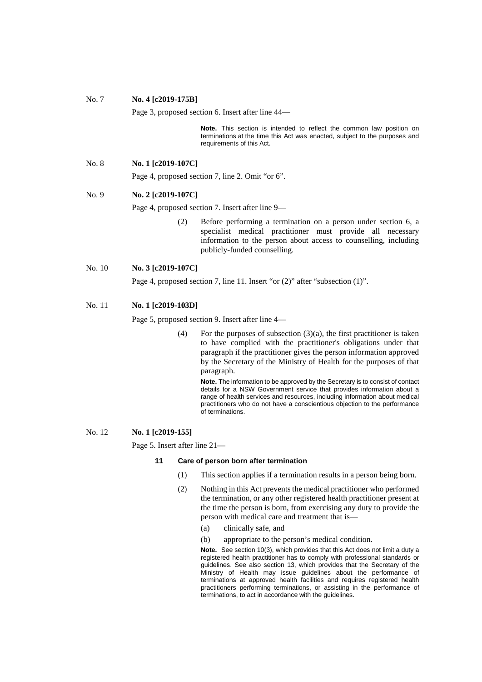| No. 7  | No. 4 [c2019-175B]                                                                 |     |                                                                                                                                                                                                                                                                                                                                                  |  |  |  |
|--------|------------------------------------------------------------------------------------|-----|--------------------------------------------------------------------------------------------------------------------------------------------------------------------------------------------------------------------------------------------------------------------------------------------------------------------------------------------------|--|--|--|
|        | Page 3, proposed section 6. Insert after line 44—                                  |     |                                                                                                                                                                                                                                                                                                                                                  |  |  |  |
|        |                                                                                    |     | <b>Note.</b> This section is intended to reflect the common law position on<br>terminations at the time this Act was enacted, subject to the purposes and<br>requirements of this Act.                                                                                                                                                           |  |  |  |
| No. 8  | No. 1 [c2019-107C]                                                                 |     |                                                                                                                                                                                                                                                                                                                                                  |  |  |  |
|        | Page 4, proposed section 7, line 2. Omit "or 6".                                   |     |                                                                                                                                                                                                                                                                                                                                                  |  |  |  |
| No. 9  | No. 2 [c2019-107C]                                                                 |     |                                                                                                                                                                                                                                                                                                                                                  |  |  |  |
|        | Page 4, proposed section 7. Insert after line 9—                                   |     |                                                                                                                                                                                                                                                                                                                                                  |  |  |  |
|        |                                                                                    | (2) | Before performing a termination on a person under section 6, a<br>specialist medical practitioner must provide all necessary<br>information to the person about access to counselling, including<br>publicly-funded counselling.                                                                                                                 |  |  |  |
| No. 10 | No. 3 [c2019-107C]                                                                 |     |                                                                                                                                                                                                                                                                                                                                                  |  |  |  |
|        | Page 4, proposed section 7, line 11. Insert "or $(2)$ " after "subsection $(1)$ ". |     |                                                                                                                                                                                                                                                                                                                                                  |  |  |  |
| No. 11 | No. 1 [c2019-103D]                                                                 |     |                                                                                                                                                                                                                                                                                                                                                  |  |  |  |
|        | Page 5, proposed section 9. Insert after line 4—                                   |     |                                                                                                                                                                                                                                                                                                                                                  |  |  |  |
|        |                                                                                    | (4) | For the purposes of subsection $(3)(a)$ , the first practitioner is taken<br>to have complied with the practitioner's obligations under that<br>paragraph if the practitioner gives the person information approved<br>by the Secretary of the Ministry of Health for the purposes of that<br>paragraph.                                         |  |  |  |
|        |                                                                                    |     | <b>Note.</b> The information to be approved by the Secretary is to consist of contact<br>details for a NSW Government service that provides information about a<br>range of health services and resources, including information about medical<br>practitioners who do not have a conscientious objection to the performance<br>of terminations. |  |  |  |
| No. 12 | No. 1 [c2019-155]                                                                  |     |                                                                                                                                                                                                                                                                                                                                                  |  |  |  |
|        | Page 5. Insert after line 21—                                                      |     |                                                                                                                                                                                                                                                                                                                                                  |  |  |  |
|        | 11                                                                                 |     | Care of person born after termination                                                                                                                                                                                                                                                                                                            |  |  |  |
|        | (1)                                                                                |     | This section applies if a termination results in a person being born.                                                                                                                                                                                                                                                                            |  |  |  |
|        |                                                                                    | (2) | Nothing in this Act prevents the medical practitioner who performed                                                                                                                                                                                                                                                                              |  |  |  |

- the termination, or any other registered health practitioner present at the time the person is born, from exercising any duty to provide the person with medical care and treatment that is—
	- (a) clinically safe, and
	- (b) appropriate to the person's medical condition.

**Note.** See section 10(3), which provides that this Act does not limit a duty a registered health practitioner has to comply with professional standards or guidelines. See also section 13, which provides that the Secretary of the Ministry of Health may issue guidelines about the performance of terminations at approved health facilities and requires registered health practitioners performing terminations, or assisting in the performance of terminations, to act in accordance with the guidelines.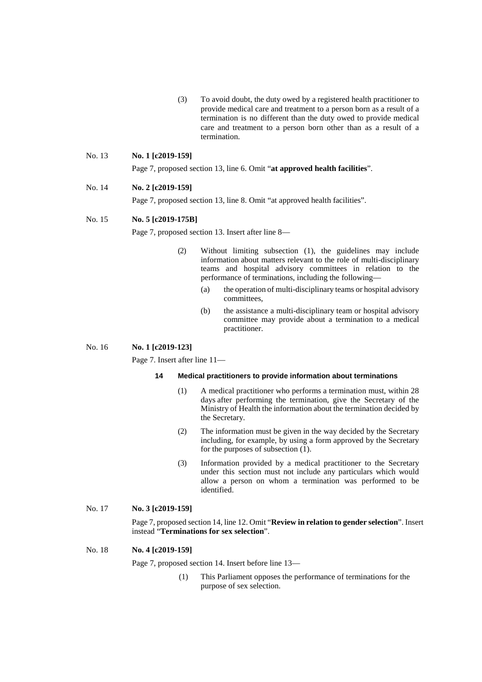(3) To avoid doubt, the duty owed by a registered health practitioner to provide medical care and treatment to a person born as a result of a termination is no different than the duty owed to provide medical care and treatment to a person born other than as a result of a termination.

### No. 13 **No. 1 [c2019-159]**

Page 7, proposed section 13, line 6. Omit "**at approved health facilities**".

### No. 14 **No. 2 [c2019-159]**

Page 7, proposed section 13, line 8. Omit "at approved health facilities".

#### No. 15 **No. 5 [c2019-175B]**

Page 7, proposed section 13. Insert after line 8—

- (2) Without limiting subsection (1), the guidelines may include information about matters relevant to the role of multi-disciplinary teams and hospital advisory committees in relation to the performance of terminations, including the following—
	- (a) the operation of multi-disciplinary teams or hospital advisory committees,
	- (b) the assistance a multi-disciplinary team or hospital advisory committee may provide about a termination to a medical practitioner.

### No. 16 **No. 1 [c2019-123]**

Page 7. Insert after line 11—

### **14 Medical practitioners to provide information about terminations**

- (1) A medical practitioner who performs a termination must, within 28 days after performing the termination, give the Secretary of the Ministry of Health the information about the termination decided by the Secretary.
- (2) The information must be given in the way decided by the Secretary including, for example, by using a form approved by the Secretary for the purposes of subsection (1).
- (3) Information provided by a medical practitioner to the Secretary under this section must not include any particulars which would allow a person on whom a termination was performed to be identified.

### No. 17 **No. 3 [c2019-159]**

Page 7, proposed section 14, line 12. Omit "**Review in relation to gender selection**". Insert instead "**Terminations for sex selection**".

### No. 18 **No. 4 [c2019-159]**

Page 7, proposed section 14. Insert before line 13—

(1) This Parliament opposes the performance of terminations for the purpose of sex selection.